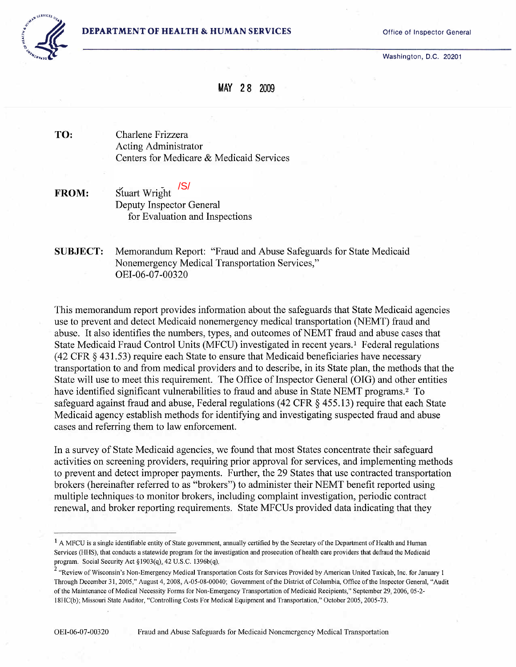Washington, D.C. 20201



## MAY 28 2009

TO: Charlene Frizzera Acting Administrator Centers for Medicare & Medicaid Services

Stuart Wright <sup>/S/</sup><br>Deputy Inspector General for Evaluation and Inspections FROM: /S/

SUBJECT: Memorandum Report: "Fraud and Abuse Safeguards for State Medicaid Nonemergency Medical Transportation Services," OEI -06-07 -00320

This memorandum report provides information about the safeguards that State Medicaid agencies use to prevent and detect Medicaid nonemergency medical transportation (NEMT) fraud and abuse. It also identifies the numbers, types, and outcomes of NEMT fraud and abuse cases that State Medicaid [F](#page-0-0)raud Control Units (MFCU) investigated in recent years.<sup>1</sup> Federal regulations (42 CFR § 431.53) require each State to ensure that Medicaid beneficiaries have necessary transportation to and from medical providers and to describe, in its State plan, the methods that the State will use to meet this requirement. The Office of Inspector General (OIG) and other entities have identified significant vulnerabilities to fraud and abuse in State NEMT programs.2 [T](#page-0-1)o safeguard against fraud and abuse, Federal regulations (42 CFR § 455.13) require that each State Medicaid agency establish methods for identifying and investigating suspected fraud and abuse cases and referring them to law enforcement.

In a survey of State Medicaid agencies, we found that most States concentrate their safeguard activities on screening providers, requiring prior approval for services, and implementing methods to prevent and detect improper payments. Further, the 29 States that use contracted transportation brokers (hereinafter referred to as "brokers") to administer their NEMT benefit reported using multiple techniques to monitor brokers, including complaint investigation, periodic contract renewal, and broker reporting requirements. State MFCUs provided data indicating that they

<span id="page-0-0"></span> $<sup>1</sup>$  A MFCU is a single identifiable entity of State government, annually certified by the Secretary of the Department of Health and Human</sup> Services (HHS), that conducts a statewide program for the investigation and prosecution of health care providers that defraud the Medicaid program. Social Security Act §1903(q), 42 U.S.C. 1396b(q),

<span id="page-0-1"></span><sup>&</sup>lt;sup>2</sup> "Review of Wisconsin's Non-Emergency Medical Transportation Costs for Services Provided by American United Taxicab, Inc. for January 1 Through December 31, 2005," August 4, 2008, A-05-08-00040; Government of the District of Columbia, Office of the Inspector General, "Audit of the Maintenance of Medical Necessity Forms for Non-Emergency Transportation of Medicaid Recipients," September 29,2006,05-2- 18HC(b); Missouri State Auditor, "Controlling Costs For Medical Equipment and Transportation," October 2005,2005-73.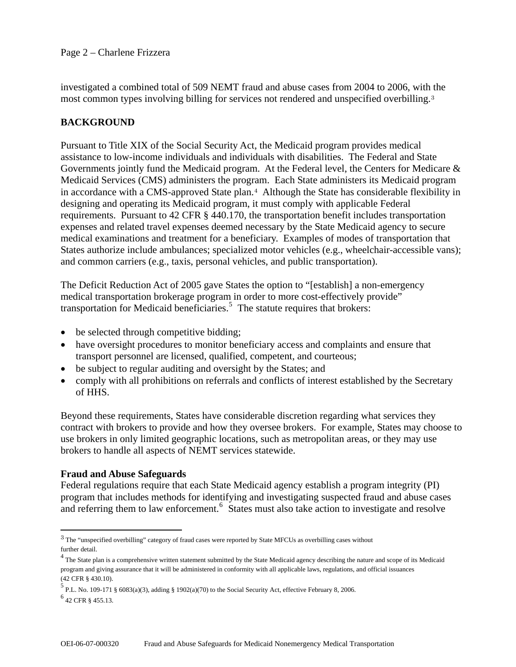investigated a combined total of 509 NEMT fraud and abuse cases from 2004 to 2006, with the most common types involving billing for services not rendered and unspecified overbilling.[3](#page-1-0)

## **BACKGROUND**

Pursuant to Title XIX of the Social Security Act, the Medicaid program provides medical assistance to low-income individuals and individuals with disabilities. The Federal and State Governments jointly fund the Medicaid program. At the Federal level, the Centers for Medicare & Medicaid Services (CMS) administers the program. Each State administers its Medicaid program in accordance with a CMS-approved State plan.<sup>[4](#page-1-1)</sup> Although the State has considerable flexibility in designing and operating its Medicaid program, it must comply with applicable Federal requirements. Pursuant to 42 CFR § 440.170, the transportation benefit includes transportation expenses and related travel expenses deemed necessary by the State Medicaid agency to secure medical examinations and treatment for a beneficiary. Examples of modes of transportation that States authorize include ambulances; specialized motor vehicles (e.g., wheelchair-accessible vans); and common carriers (e.g., taxis, personal vehicles, and public transportation).

The Deficit Reduction Act of 2005 gave States the option to "[establish] a non-emergency medical transportation brokerage program in order to more cost-effectively provide" transportation for Medicaid beneficiaries.<sup>[5](#page-1-2)</sup> The statute requires that brokers:

- be selected through competitive bidding;
- have oversight procedures to monitor beneficiary access and complaints and ensure that transport personnel are licensed, qualified, competent, and courteous;
- be subject to regular auditing and oversight by the States; and
- comply with all prohibitions on referrals and conflicts of interest established by the Secretary of HHS.

Beyond these requirements, States have considerable discretion regarding what services they contract with brokers to provide and how they oversee brokers. For example, States may choose to use brokers in only limited geographic locations, such as metropolitan areas, or they may use brokers to handle all aspects of NEMT services statewide.

#### **Fraud and Abuse Safeguards**

Federal regulations require that each State Medicaid agency establish a program integrity (PI) program that includes methods for identifying and investigating suspected fraud and abuse cases and referring them to law enforcement.<sup>[6](#page-1-3)</sup> States must also take action to investigate and resolve

 $\overline{a}$ 

<span id="page-1-0"></span><sup>3</sup> The "unspecified overbilling" category of fraud cases were reported by State MFCUs as overbilling cases without further detail.

<span id="page-1-1"></span> $4$  The State plan is a comprehensive written statement submitted by the State Medicaid agency describing the nature and scope of its Medicaid program and giving assurance that it will be administered in conformity with all applicable laws, regulations, and official issuances (42 CFR § 430.10).

<span id="page-1-2"></span><sup>&</sup>lt;sup>5</sup> P.L. No. 109-171 § 6083(a)(3), adding § 1902(a)(70) to the Social Security Act, effective February 8, 2006.

<span id="page-1-3"></span> $<sup>6</sup>$  42 CFR § 455.13.</sup>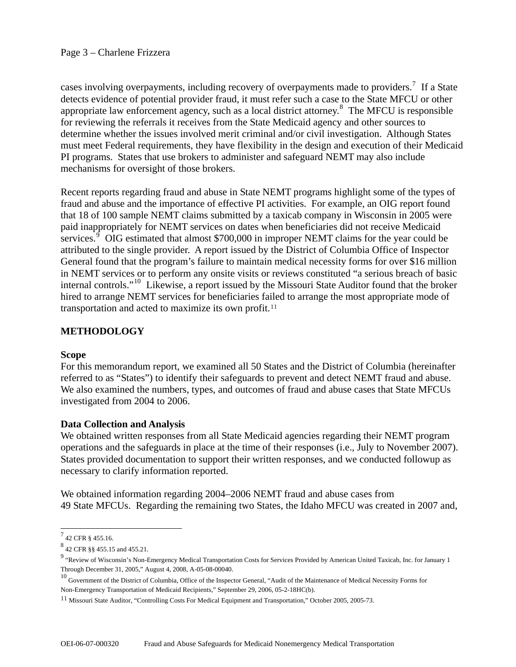cases involving overpayments, including recovery of overpayments made to providers.<sup>[7](#page-2-0)</sup> If a State detects evidence of potential provider fraud, it must refer such a case to the State MFCU or other appropriate law enforcement agency, such as a local district attorney.<sup>[8](#page-2-1)</sup> The MFCU is responsible for reviewing the referrals it receives from the State Medicaid agency and other sources to determine whether the issues involved merit criminal and/or civil investigation. Although States must meet Federal requirements, they have flexibility in the design and execution of their Medicaid PI programs. States that use brokers to administer and safeguard NEMT may also include mechanisms for oversight of those brokers.

Recent reports regarding fraud and abuse in State NEMT programs highlight some of the types of fraud and abuse and the importance of effective PI activities. For example, an OIG report found that 18 of 100 sample NEMT claims submitted by a taxicab company in Wisconsin in 2005 were paid inappropriately for NEMT services on dates when beneficiaries did not receive Medicaid services.<sup> $9$ </sup> OIG estimated that almost \$700,000 in improper NEMT claims for the year could be attributed to the single provider. A report issued by the District of Columbia Office of Inspector General found that the program's failure to maintain medical necessity forms for over \$16 million in NEMT services or to perform any onsite visits or reviews constituted "a serious breach of basic internal controls."[10](#page-2-3) Likewise, a report issued by the Missouri State Auditor found that the broker hired to arrange NEMT services for beneficiaries failed to arrange the most appropriate mode of transportation and acted to maximize its own profit.[11](#page-2-4)

## **METHODOLOGY**

#### **Scope**

For this memorandum report, we examined all 50 States and the District of Columbia (hereinafter referred to as "States") to identify their safeguards to prevent and detect NEMT fraud and abuse. We also examined the numbers, types, and outcomes of fraud and abuse cases that State MFCUs investigated from 2004 to 2006.

#### **Data Collection and Analysis**

We obtained written responses from all State Medicaid agencies regarding their NEMT program operations and the safeguards in place at the time of their responses (i.e., July to November 2007). States provided documentation to support their written responses, and we conducted followup as necessary to clarify information reported.

We obtained information regarding 2004–2006 NEMT fraud and abuse cases from 49 State MFCUs. Regarding the remaining two States, the Idaho MFCU was created in 2007 and,

<span id="page-2-0"></span> $^{7}$  42 CFR § 455.16.

<span id="page-2-1"></span> $8$  42 CFR §§ 455.15 and 455.21.

<span id="page-2-2"></span><sup>&</sup>lt;sup>9</sup> "Review of Wisconsin's Non-Emergency Medical Transportation Costs for Services Provided by American United Taxicab, Inc. for January 1 Through December 31, 2005," August 4, 2008, A-05-08-00040.

<span id="page-2-3"></span><sup>&</sup>lt;sup>10</sup> Government of the District of Columbia, Office of the Inspector General, "Audit of the Maintenance of Medical Necessity Forms for Non-Emergency Transportation of Medicaid Recipients," September 29, 2006, 05-2-18HC(b).

<span id="page-2-4"></span><sup>11</sup> Missouri State Auditor, "Controlling Costs For Medical Equipment and Transportation," October 2005, 2005-73.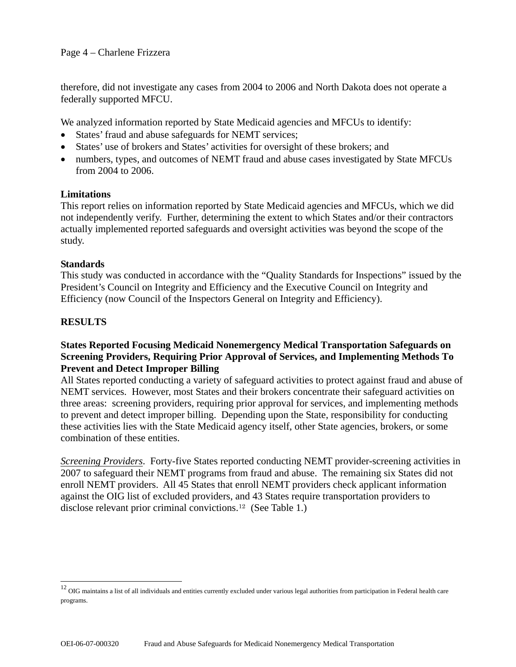therefore, did not investigate any cases from 2004 to 2006 and North Dakota does not operate a federally supported MFCU.

We analyzed information reported by State Medicaid agencies and MFCUs to identify:

- States' fraud and abuse safeguards for NEMT services;
- States' use of brokers and States' activities for oversight of these brokers; and
- numbers, types, and outcomes of NEMT fraud and abuse cases investigated by State MFCUs from 2004 to 2006.

#### **Limitations**

This report relies on information reported by State Medicaid agencies and MFCUs, which we did not independently verify. Further, determining the extent to which States and/or their contractors actually implemented reported safeguards and oversight activities was beyond the scope of the study.

#### **Standards**

This study was conducted in accordance with the "Quality Standards for Inspections" issued by the President's Council on Integrity and Efficiency and the Executive Council on Integrity and Efficiency (now Council of the Inspectors General on Integrity and Efficiency).

## **RESULTS**

 $\overline{a}$ 

#### **States Reported Focusing Medicaid Nonemergency Medical Transportation Safeguards on Screening Providers, Requiring Prior Approval of Services, and Implementing Methods To Prevent and Detect Improper Billing**

All States reported conducting a variety of safeguard activities to protect against fraud and abuse of NEMT services. However, most States and their brokers concentrate their safeguard activities on three areas: screening providers, requiring prior approval for services, and implementing methods to prevent and detect improper billing. Depending upon the State, responsibility for conducting these activities lies with the State Medicaid agency itself, other State agencies, brokers, or some combination of these entities.

*Screening Providers*. Forty-five States reported conducting NEMT provider-screening activities in 2007 to safeguard their NEMT programs from fraud and abuse. The remaining six States did not enroll NEMT providers. All 45 States that enroll NEMT providers check applicant information against the OIG list of excluded providers, and 43 States require transportation providers to disclose relevant prior criminal convictions.[12](#page-3-0) (See Table 1.)

<span id="page-3-0"></span> $12$  OIG maintains a list of all individuals and entities currently excluded under various legal authorities from participation in Federal health care programs.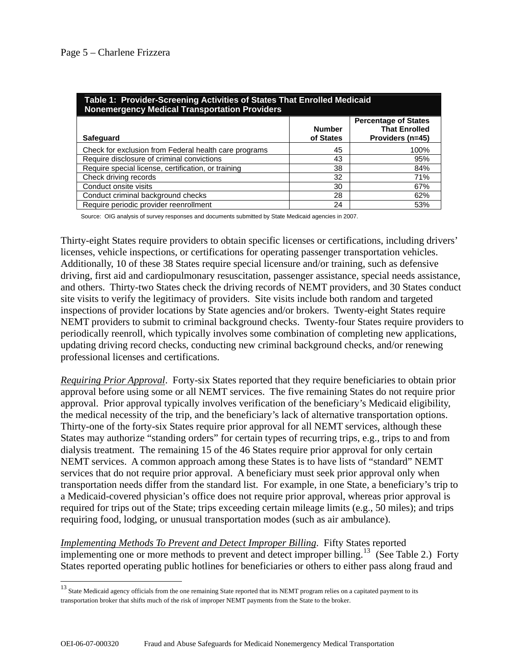$\overline{a}$ 

| Table 1: Provider-Screening Activities of States That Enrolled Medicaid<br>Nonemergency Medical Transportation Providers |                            |                                                                         |  |
|--------------------------------------------------------------------------------------------------------------------------|----------------------------|-------------------------------------------------------------------------|--|
| <b>Safeguard</b>                                                                                                         | <b>Number</b><br>of States | <b>Percentage of States</b><br><b>That Enrolled</b><br>Providers (n=45) |  |
| Check for exclusion from Federal health care programs                                                                    | 45                         | 100%                                                                    |  |
| Require disclosure of criminal convictions                                                                               | 43                         | 95%                                                                     |  |
| Require special license, certification, or training                                                                      | 38                         | 84%                                                                     |  |
| Check driving records                                                                                                    | 32                         | 71%                                                                     |  |
| Conduct onsite visits                                                                                                    | 30                         | 67%                                                                     |  |
| Conduct criminal background checks                                                                                       | 28                         | 62%                                                                     |  |
| Require periodic provider reenrollment                                                                                   | 24                         | 53%                                                                     |  |

Source: OIG analysis of survey responses and documents submitted by State Medicaid agencies in 2007.

Thirty-eight States require providers to obtain specific licenses or certifications, including drivers' licenses, vehicle inspections, or certifications for operating passenger transportation vehicles. Additionally, 10 of these 38 States require special licensure and/or training, such as defensive driving, first aid and cardiopulmonary resuscitation, passenger assistance, special needs assistance, and others. Thirty-two States check the driving records of NEMT providers, and 30 States conduct site visits to verify the legitimacy of providers. Site visits include both random and targeted inspections of provider locations by State agencies and/or brokers. Twenty-eight States require NEMT providers to submit to criminal background checks. Twenty-four States require providers to periodically reenroll, which typically involves some combination of completing new applications, updating driving record checks, conducting new criminal background checks, and/or renewing professional licenses and certifications.

*Requiring Prior Approval*. Forty-six States reported that they require beneficiaries to obtain prior approval before using some or all NEMT services. The five remaining States do not require prior approval. Prior approval typically involves verification of the beneficiary's Medicaid eligibility, the medical necessity of the trip, and the beneficiary's lack of alternative transportation options. Thirty-one of the forty-six States require prior approval for all NEMT services, although these States may authorize "standing orders" for certain types of recurring trips, e.g., trips to and from dialysis treatment. The remaining 15 of the 46 States require prior approval for only certain NEMT services. A common approach among these States is to have lists of "standard" NEMT services that do not require prior approval. A beneficiary must seek prior approval only when transportation needs differ from the standard list. For example, in one State, a beneficiary's trip to a Medicaid-covered physician's office does not require prior approval, whereas prior approval is required for trips out of the State; trips exceeding certain mileage limits (e.g., 50 miles); and trips requiring food, lodging, or unusual transportation modes (such as air ambulance).

*Implementing Methods To Prevent and Detect Improper Billing*. Fifty States reported implementing one or more methods to prevent and detect improper billing.<sup>[13](#page-4-0)</sup> (See Table 2.) Forty States reported operating public hotlines for beneficiaries or others to either pass along fraud and

<span id="page-4-0"></span><sup>&</sup>lt;sup>13</sup> State Medicaid agency officials from the one remaining State reported that its NEMT program relies on a capitated payment to its transportation broker that shifts much of the risk of improper NEMT payments from the State to the broker.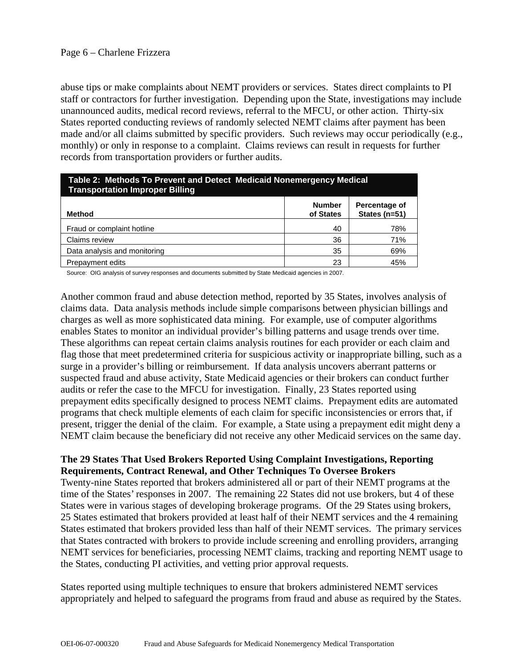abuse tips or make complaints about NEMT providers or services. States direct complaints to PI staff or contractors for further investigation. Depending upon the State, investigations may include unannounced audits, medical record reviews, referral to the MFCU, or other action. Thirty-six States reported conducting reviews of randomly selected NEMT claims after payment has been made and/or all claims submitted by specific providers. Such reviews may occur periodically (e.g., monthly) or only in response to a complaint. Claims reviews can result in requests for further records from transportation providers or further audits.

| Table 2: Methods To Prevent and Detect Medicaid Nonemergency Medical<br><b>Transportation Improper Billing</b> |                            |                                |  |
|----------------------------------------------------------------------------------------------------------------|----------------------------|--------------------------------|--|
| Method                                                                                                         | <b>Number</b><br>of States | Percentage of<br>States (n=51) |  |
| Fraud or complaint hotline                                                                                     | 40                         | 78%                            |  |
| Claims review                                                                                                  | 36                         | 71%                            |  |
| Data analysis and monitoring                                                                                   | 35                         | 69%                            |  |
| Prepayment edits                                                                                               | 23                         | 45%                            |  |

Source: OIG analysis of survey responses and documents submitted by State Medicaid agencies in 2007.

Another common fraud and abuse detection method, reported by 35 States, involves analysis of claims data. Data analysis methods include simple comparisons between physician billings and charges as well as more sophisticated data mining. For example, use of computer algorithms enables States to monitor an individual provider's billing patterns and usage trends over time. These algorithms can repeat certain claims analysis routines for each provider or each claim and flag those that meet predetermined criteria for suspicious activity or inappropriate billing, such as a surge in a provider's billing or reimbursement. If data analysis uncovers aberrant patterns or suspected fraud and abuse activity, State Medicaid agencies or their brokers can conduct further audits or refer the case to the MFCU for investigation. Finally, 23 States reported using prepayment edits specifically designed to process NEMT claims. Prepayment edits are automated programs that check multiple elements of each claim for specific inconsistencies or errors that, if present, trigger the denial of the claim. For example, a State using a prepayment edit might deny a NEMT claim because the beneficiary did not receive any other Medicaid services on the same day.

#### **The 29 States That Used Brokers Reported Using Complaint Investigations, Reporting Requirements, Contract Renewal, and Other Techniques To Oversee Brokers**

Twenty-nine States reported that brokers administered all or part of their NEMT programs at the time of the States' responses in 2007. The remaining 22 States did not use brokers, but 4 of these States were in various stages of developing brokerage programs. Of the 29 States using brokers, 25 States estimated that brokers provided at least half of their NEMT services and the 4 remaining States estimated that brokers provided less than half of their NEMT services. The primary services that States contracted with brokers to provide include screening and enrolling providers, arranging NEMT services for beneficiaries, processing NEMT claims, tracking and reporting NEMT usage to the States, conducting PI activities, and vetting prior approval requests.

States reported using multiple techniques to ensure that brokers administered NEMT services appropriately and helped to safeguard the programs from fraud and abuse as required by the States.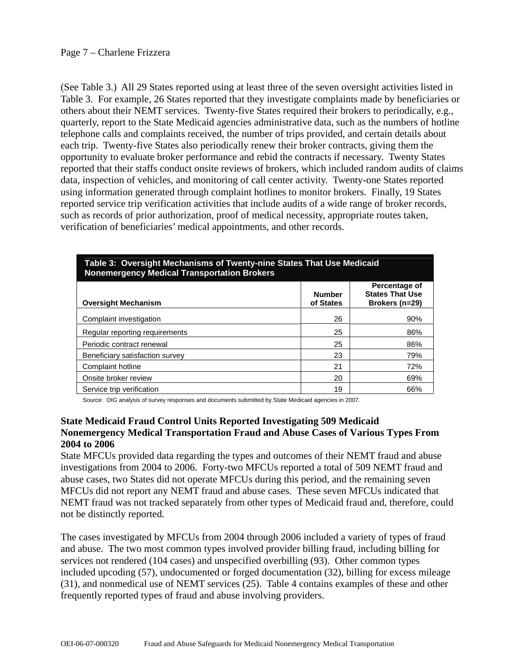(See Table 3.) All 29 States reported using at least three of the seven oversight activities listed in Table 3. For example, 26 States reported that they investigate complaints made by beneficiaries or others about their NEMT services. Twenty-five States required their brokers to periodically, e.g., quarterly, report to the State Medicaid agencies administrative data, such as the numbers of hotline telephone calls and complaints received, the number of trips provided, and certain details about each trip. Twenty-five States also periodically renew their broker contracts, giving them the opportunity to evaluate broker performance and rebid the contracts if necessary. Twenty States reported that their staffs conduct onsite reviews of brokers, which included random audits of claims data, inspection of vehicles, and monitoring of call center activity. Twenty-one States reported using information generated through complaint hotlines to monitor brokers. Finally, 19 States reported service trip verification activities that include audits of a wide range of broker records, such as records of prior authorization, proof of medical necessity, appropriate routes taken, verification of beneficiaries' medical appointments, and other records.

| rapie J. Oversight Mechanisms Of Twenty-hine States That Ose Medicald<br><b>Nonemergency Medical Transportation Brokers</b> |                            |                                                           |  |
|-----------------------------------------------------------------------------------------------------------------------------|----------------------------|-----------------------------------------------------------|--|
| <b>Oversight Mechanism</b>                                                                                                  | <b>Number</b><br>of States | Percentage of<br><b>States That Use</b><br>Brokers (n=29) |  |
| Complaint investigation                                                                                                     | 26                         | 90%                                                       |  |
| Regular reporting requirements                                                                                              | 25                         | 86%                                                       |  |
| Periodic contract renewal                                                                                                   | 25                         | 86%                                                       |  |
| Beneficiary satisfaction survey                                                                                             | 23                         | 79%                                                       |  |
| Complaint hotline                                                                                                           | 21                         | 72%                                                       |  |
| Onsite broker review                                                                                                        | 20                         | 69%                                                       |  |
| Service trip verification                                                                                                   | 19                         | 66%                                                       |  |

# **Table 3: Oversight Mechanisms of Twenty-nine States That Use Medicaid**

Source: OIG analysis of survey responses and documents submitted by State Medicaid agencies in 2007.

#### **State Medicaid Fraud Control Units Reported Investigating 509 Medicaid Nonemergency Medical Transportation Fraud and Abuse Cases of Various Types From 2004 to 2006**

State MFCUs provided data regarding the types and outcomes of their NEMT fraud and abuse investigations from 2004 to 2006. Forty-two MFCUs reported a total of 509 NEMT fraud and abuse cases, two States did not operate MFCUs during this period, and the remaining seven MFCUs did not report any NEMT fraud and abuse cases. These seven MFCUs indicated that NEMT fraud was not tracked separately from other types of Medicaid fraud and, therefore, could not be distinctly reported.

The cases investigated by MFCUs from 2004 through 2006 included a variety of types of fraud and abuse. The two most common types involved provider billing fraud, including billing for services not rendered (104 cases) and unspecified overbilling (93). Other common types included upcoding (57), undocumented or forged documentation (32), billing for excess mileage (31), and nonmedical use of NEMT services (25). Table 4 contains examples of these and other frequently reported types of fraud and abuse involving providers.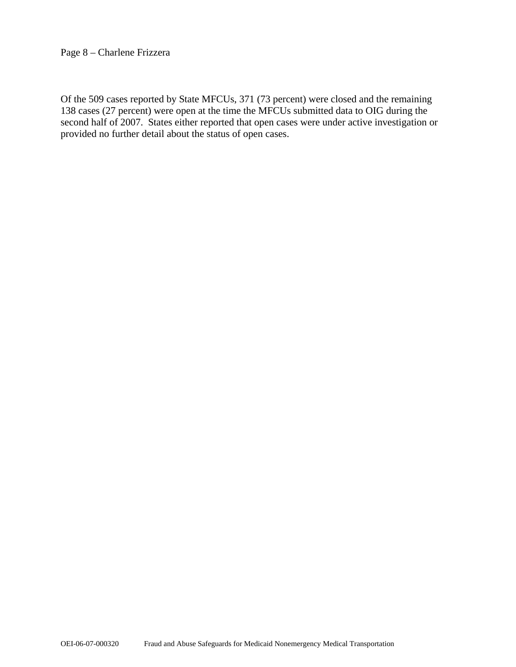#### Page 8 – Charlene Frizzera

Of the 509 cases reported by State MFCUs, 371 (73 percent) were closed and the remaining 138 cases (27 percent) were open at the time the MFCUs submitted data to OIG during the second half of 2007. States either reported that open cases were under active investigation or provided no further detail about the status of open cases.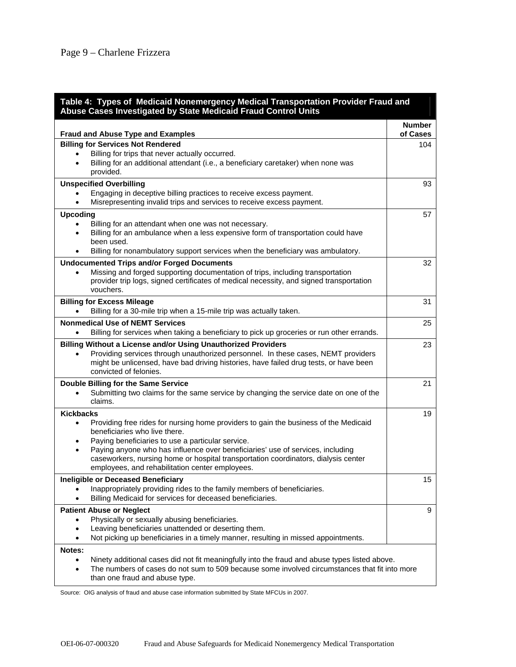| Table 4: Types of Medicaid Nonemergency Medical Transportation Provider Fraud and<br>Abuse Cases Investigated by State Medicaid Fraud Control Units |                           |  |
|-----------------------------------------------------------------------------------------------------------------------------------------------------|---------------------------|--|
| <b>Fraud and Abuse Type and Examples</b>                                                                                                            | <b>Number</b><br>of Cases |  |
| <b>Billing for Services Not Rendered</b>                                                                                                            | 104                       |  |
| Billing for trips that never actually occurred.                                                                                                     |                           |  |
| Billing for an additional attendant (i.e., a beneficiary caretaker) when none was<br>provided.                                                      |                           |  |
| <b>Unspecified Overbilling</b>                                                                                                                      | 93                        |  |
| Engaging in deceptive billing practices to receive excess payment.                                                                                  |                           |  |
| Misrepresenting invalid trips and services to receive excess payment.<br>$\bullet$                                                                  |                           |  |
| <b>Upcoding</b>                                                                                                                                     | 57                        |  |
| Billing for an attendant when one was not necessary.                                                                                                |                           |  |
| Billing for an ambulance when a less expensive form of transportation could have<br>٠<br>been used.                                                 |                           |  |
| Billing for nonambulatory support services when the beneficiary was ambulatory.                                                                     |                           |  |
| <b>Undocumented Trips and/or Forged Documents</b>                                                                                                   | 32                        |  |
| Missing and forged supporting documentation of trips, including transportation<br>$\bullet$                                                         |                           |  |
| provider trip logs, signed certificates of medical necessity, and signed transportation                                                             |                           |  |
| vouchers.                                                                                                                                           |                           |  |
| <b>Billing for Excess Mileage</b>                                                                                                                   | 31                        |  |
| Billing for a 30-mile trip when a 15-mile trip was actually taken.                                                                                  |                           |  |
| <b>Nonmedical Use of NEMT Services</b>                                                                                                              | 25                        |  |
| Billing for services when taking a beneficiary to pick up groceries or run other errands.                                                           |                           |  |
| <b>Billing Without a License and/or Using Unauthorized Providers</b>                                                                                | 23                        |  |
| Providing services through unauthorized personnel. In these cases, NEMT providers                                                                   |                           |  |
| might be unlicensed, have bad driving histories, have failed drug tests, or have been                                                               |                           |  |
| convicted of felonies.                                                                                                                              |                           |  |
| Double Billing for the Same Service                                                                                                                 | 21                        |  |
| Submitting two claims for the same service by changing the service date on one of the                                                               |                           |  |
| claims.                                                                                                                                             |                           |  |
| <b>Kickbacks</b>                                                                                                                                    | 19                        |  |
| Providing free rides for nursing home providers to gain the business of the Medicaid<br>$\bullet$                                                   |                           |  |
| beneficiaries who live there.                                                                                                                       |                           |  |
| Paying beneficiaries to use a particular service.                                                                                                   |                           |  |
| Paying anyone who has influence over beneficiaries' use of services, including<br>$\bullet$                                                         |                           |  |
| caseworkers, nursing home or hospital transportation coordinators, dialysis center<br>employees, and rehabilitation center employees.               |                           |  |
|                                                                                                                                                     |                           |  |
| Ineligible or Deceased Beneficiary<br>Inappropriately providing rides to the family members of beneficiaries.                                       | 15                        |  |
| Billing Medicaid for services for deceased beneficiaries.                                                                                           |                           |  |
| <b>Patient Abuse or Neglect</b>                                                                                                                     | 9                         |  |
| Physically or sexually abusing beneficiaries.<br>$\bullet$                                                                                          |                           |  |
| Leaving beneficiaries unattended or deserting them.                                                                                                 |                           |  |
| Not picking up beneficiaries in a timely manner, resulting in missed appointments.                                                                  |                           |  |
| Notes:                                                                                                                                              |                           |  |
| Ninety additional cases did not fit meaningfully into the fraud and abuse types listed above.<br>$\bullet$                                          |                           |  |
| The numbers of cases do not sum to 509 because some involved circumstances that fit into more<br>٠                                                  |                           |  |
| than one fraud and abuse type.                                                                                                                      |                           |  |

Source: OIG analysis of fraud and abuse case information submitted by State MFCUs in 2007.